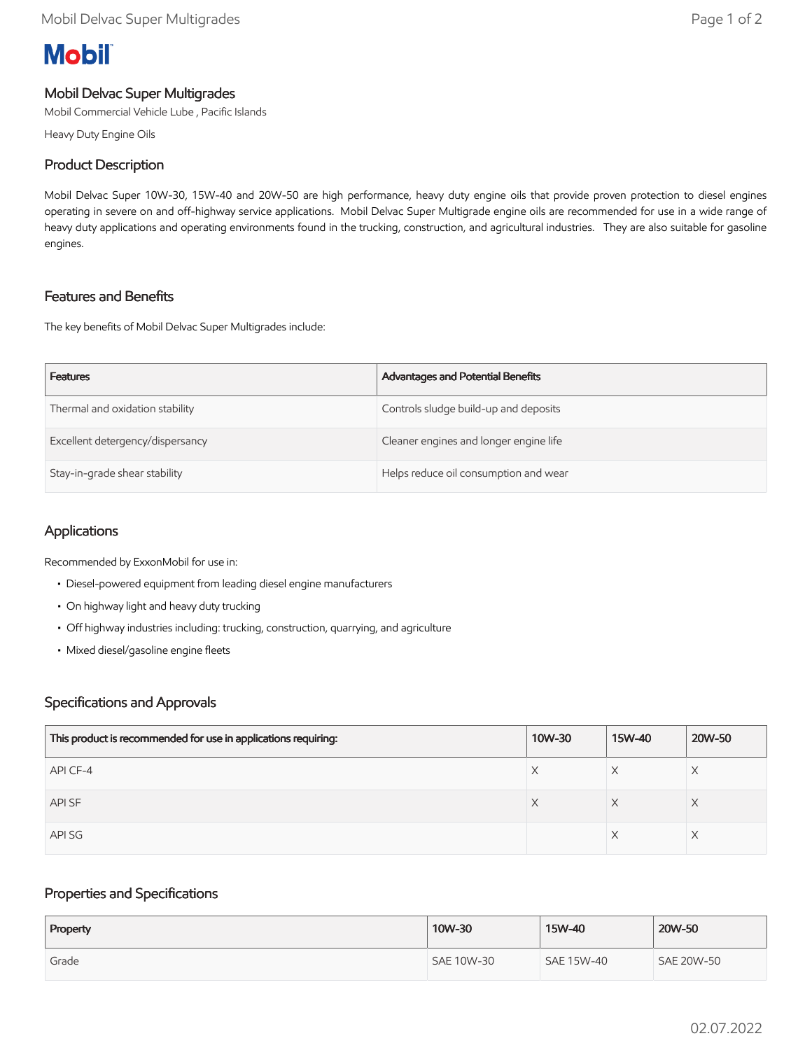# **Mobil**

# Mobil Delvac Super Multigrades

Mobil Commercial Vehicle Lube , Pacific Islands

Heavy Duty Engine Oils

## Product Description

Mobil Delvac Super 10W-30, 15W-40 and 20W-50 are high performance, heavy duty engine oils that provide proven protection to diesel engines operating in severe on and off-highway service applications. Mobil Delvac Super Multigrade engine oils are recommended for use in a wide range of heavy duty applications and operating environments found in the trucking, construction, and agricultural industries. They are also suitable for gasoline engines.

## Features and Benefits

The key benefits of Mobil Delvac Super Multigrades include:

| <b>Features</b>                  | Advantages and Potential Benefits      |
|----------------------------------|----------------------------------------|
| Thermal and oxidation stability  | Controls sludge build-up and deposits  |
| Excellent detergency/dispersancy | Cleaner engines and longer engine life |
| Stay-in-grade shear stability    | Helps reduce oil consumption and wear  |

# Applications

Recommended by ExxonMobil for use in:

- Diesel-powered equipment from leading diesel engine manufacturers
- On highway light and heavy duty trucking
- Off highway industries including: trucking, construction, quarrying, and agriculture
- Mixed diesel/gasoline engine fleets

### Specifications and Approvals

| This product is recommended for use in applications requiring: | 10W-30 | 15W-40 | 20W-50 |
|----------------------------------------------------------------|--------|--------|--------|
| API CF-4                                                       | X      |        | Χ      |
| API SF                                                         | X      | Χ      | X      |
| API SG                                                         |        |        |        |

### Properties and Specifications

| Property | 10W-30     | 15W-40     | 20W-50            |
|----------|------------|------------|-------------------|
| Grade    | SAE 10W-30 | SAE 15W-40 | <b>SAE 20W-50</b> |